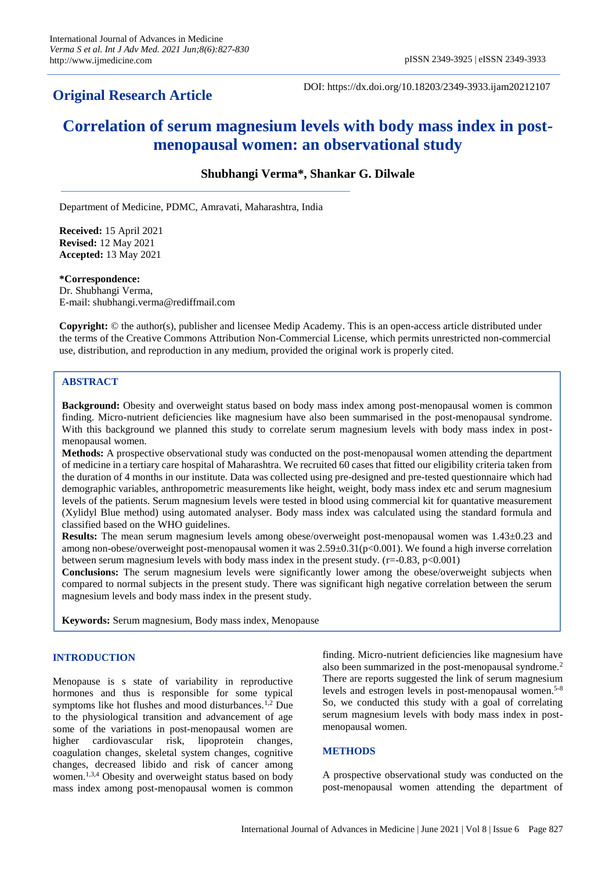## **Original Research Article**

DOI: https://dx.doi.org/10.18203/2349-3933.ijam20212107

# **Correlation of serum magnesium levels with body mass index in postmenopausal women: an observational study**

## **Shubhangi Verma\*, Shankar G. Dilwale**

Department of Medicine, PDMC, Amravati, Maharashtra, India

**Received:** 15 April 2021 **Revised:** 12 May 2021 **Accepted:** 13 May 2021

#### **\*Correspondence:**

Dr. Shubhangi Verma, E-mail: shubhangi.verma@rediffmail.com

**Copyright:** © the author(s), publisher and licensee Medip Academy. This is an open-access article distributed under the terms of the Creative Commons Attribution Non-Commercial License, which permits unrestricted non-commercial use, distribution, and reproduction in any medium, provided the original work is properly cited.

## **ABSTRACT**

**Background:** Obesity and overweight status based on body mass index among post-menopausal women is common finding. Micro-nutrient deficiencies like magnesium have also been summarised in the post-menopausal syndrome. With this background we planned this study to correlate serum magnesium levels with body mass index in postmenopausal women.

**Methods:** A prospective observational study was conducted on the post-menopausal women attending the department of medicine in a tertiary care hospital of Maharashtra. We recruited 60 cases that fitted our eligibility criteria taken from the duration of 4 months in our institute. Data was collected using pre-designed and pre-tested questionnaire which had demographic variables, anthropometric measurements like height, weight, body mass index etc and serum magnesium levels of the patients. Serum magnesium levels were tested in blood using commercial kit for quantative measurement (Xylidyl Blue method) using automated analyser. Body mass index was calculated using the standard formula and classified based on the WHO guidelines.

**Results:** The mean serum magnesium levels among obese/overweight post-menopausal women was 1.43±0.23 and among non-obese/overweight post-menopausal women it was  $2.59 \pm 0.31(p<0.001)$ . We found a high inverse correlation between serum magnesium levels with body mass index in the present study. ( $r = -0.83$ ,  $p < 0.001$ )

**Conclusions:** The serum magnesium levels were significantly lower among the obese/overweight subjects when compared to normal subjects in the present study. There was significant high negative correlation between the serum magnesium levels and body mass index in the present study.

**Keywords:** Serum magnesium, Body mass index, Menopause

## **INTRODUCTION**

Menopause is s state of variability in reproductive hormones and thus is responsible for some typical symptoms like hot flushes and mood disturbances.<sup>1,2</sup> Due to the physiological transition and advancement of age some of the variations in post-menopausal women are higher cardiovascular risk, lipoprotein changes, coagulation changes, skeletal system changes, cognitive changes, decreased libido and risk of cancer among women.<sup>1,3,4</sup> Obesity and overweight status based on body mass index among post-menopausal women is common finding. Micro-nutrient deficiencies like magnesium have also been summarized in the post-menopausal syndrome.<sup>2</sup> There are reports suggested the link of serum magnesium levels and estrogen levels in post-menopausal women.<sup>5-8</sup> So, we conducted this study with a goal of correlating serum magnesium levels with body mass index in postmenopausal women.

#### **METHODS**

A prospective observational study was conducted on the post-menopausal women attending the department of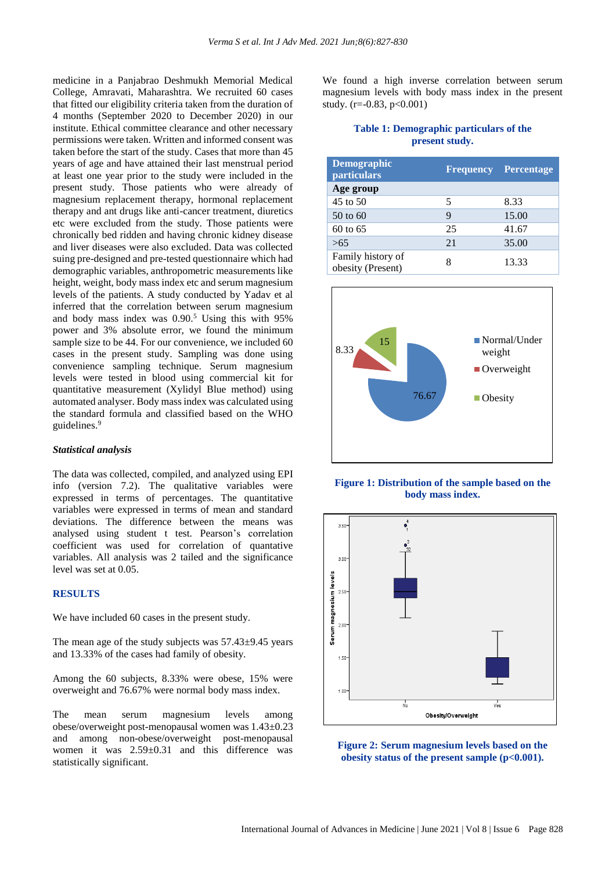medicine in a Panjabrao Deshmukh Memorial Medical College, Amravati, Maharashtra. We recruited 60 cases that fitted our eligibility criteria taken from the duration of 4 months (September 2020 to December 2020) in our institute. Ethical committee clearance and other necessary permissions were taken. Written and informed consent was taken before the start of the study. Cases that more than 45 years of age and have attained their last menstrual period at least one year prior to the study were included in the present study. Those patients who were already of magnesium replacement therapy, hormonal replacement therapy and ant drugs like anti-cancer treatment, diuretics etc were excluded from the study. Those patients were chronically bed ridden and having chronic kidney disease and liver diseases were also excluded. Data was collected suing pre-designed and pre-tested questionnaire which had demographic variables, anthropometric measurements like height, weight, body mass index etc and serum magnesium levels of the patients. A study conducted by Yadav et al inferred that the correlation between serum magnesium and body mass index was 0.90.<sup>5</sup> Using this with 95% power and 3% absolute error, we found the minimum sample size to be 44. For our convenience, we included 60 cases in the present study. Sampling was done using convenience sampling technique. Serum magnesium levels were tested in blood using commercial kit for quantitative measurement (Xylidyl Blue method) using automated analyser. Body mass index was calculated using the standard formula and classified based on the WHO guidelines. 9

#### *Statistical analysis*

The data was collected, compiled, and analyzed using EPI info (version 7.2). The qualitative variables were expressed in terms of percentages. The quantitative variables were expressed in terms of mean and standard deviations. The difference between the means was analysed using student t test. Pearson's correlation coefficient was used for correlation of quantative variables. All analysis was 2 tailed and the significance level was set at 0.05.

## **RESULTS**

We have included 60 cases in the present study.

The mean age of the study subjects was 57.43±9.45 years and 13.33% of the cases had family of obesity.

Among the 60 subjects, 8.33% were obese, 15% were overweight and 76.67% were normal body mass index.

The mean serum magnesium levels among obese/overweight post-menopausal women was 1.43±0.23 and among non-obese/overweight post-menopausal women it was 2.59±0.31 and this difference was statistically significant.

We found a high inverse correlation between serum magnesium levels with body mass index in the present study.  $(r=-0.83, p<0.001)$ 

## **Table 1: Demographic particulars of the present study.**

| <b>Demographic</b><br><b>particulars</b> |    | <b>Frequency Percentage</b> |
|------------------------------------------|----|-----------------------------|
| Age group                                |    |                             |
| $45$ to $50$                             | 5  | 8.33                        |
| 50 to 60                                 | 9  | 15.00                       |
| $60$ to $65$                             | 25 | 41.67                       |
| >65                                      | 21 | 35.00                       |
| Family history of<br>obesity (Present)   |    | 13.33                       |



**Figure 1: Distribution of the sample based on the body mass index.**



**Figure 2: Serum magnesium levels based on the obesity status of the present sample (p<0.001).**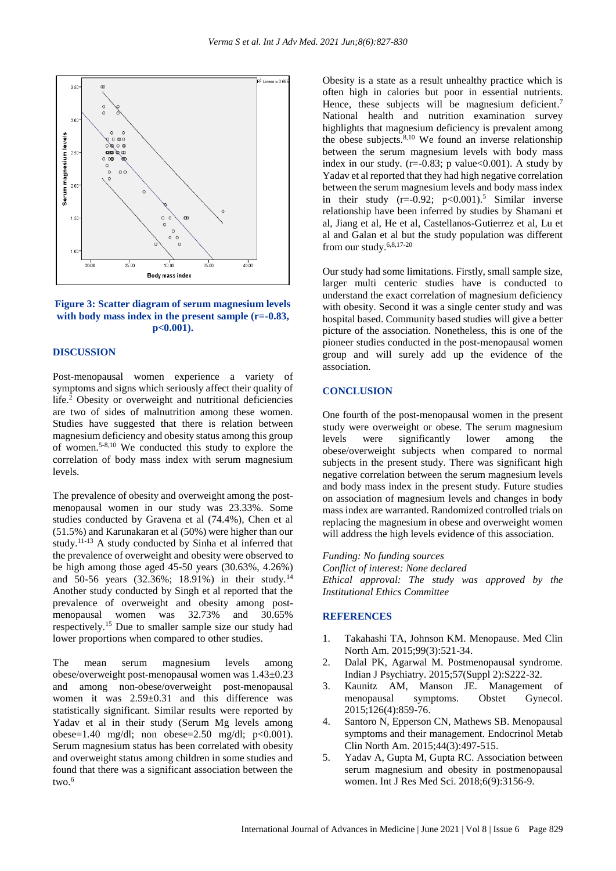



## **DISCUSSION**

Post-menopausal women experience a variety of symptoms and signs which seriously affect their quality of life.<sup>2</sup> Obesity or overweight and nutritional deficiencies are two of sides of malnutrition among these women. Studies have suggested that there is relation between magnesium deficiency and obesity status among this group of women.5-8,10 We conducted this study to explore the correlation of body mass index with serum magnesium levels.

The prevalence of obesity and overweight among the postmenopausal women in our study was 23.33%. Some studies conducted by Gravena et al (74.4%), Chen et al (51.5%) and Karunakaran et al (50%) were higher than our study.11-13 A study conducted by Sinha et al inferred that the prevalence of overweight and obesity were observed to be high among those aged 45-50 years (30.63%, 4.26%) and 50-56 years (32.36%; 18.91%) in their study.<sup>14</sup> Another study conducted by Singh et al reported that the prevalence of overweight and obesity among postmenopausal women was 32.73% and 30.65% respectively.<sup>15</sup> Due to smaller sample size our study had lower proportions when compared to other studies.

The mean serum magnesium levels among obese/overweight post-menopausal women was 1.43±0.23 and among non-obese/overweight post-menopausal women it was 2.59±0.31 and this difference was statistically significant. Similar results were reported by Yadav et al in their study (Serum Mg levels among obese=1.40 mg/dl; non obese=2.50 mg/dl;  $p<0.001$ ). Serum magnesium status has been correlated with obesity and overweight status among children in some studies and found that there was a significant association between the two.<sup>6</sup>

Obesity is a state as a result unhealthy practice which is often high in calories but poor in essential nutrients. Hence, these subjects will be magnesium deficient.<sup>7</sup> National health and nutrition examination survey highlights that magnesium deficiency is prevalent among the obese subjects.<sup>8,10</sup> We found an inverse relationship between the serum magnesium levels with body mass index in our study.  $(r=0.83; p \text{ value} < 0.001)$ . A study by Yadav et al reported that they had high negative correlation between the serum magnesium levels and body mass index in their study  $(r=0.92; p<0.001).$ <sup>5</sup> Similar inverse relationship have been inferred by studies by Shamani et al, Jiang et al, He et al, Castellanos-Gutierrez et al, Lu et al and Galan et al but the study population was different from our study.6,8,17-20

Our study had some limitations. Firstly, small sample size, larger multi centeric studies have is conducted to understand the exact correlation of magnesium deficiency with obesity. Second it was a single center study and was hospital based. Community based studies will give a better picture of the association. Nonetheless, this is one of the pioneer studies conducted in the post-menopausal women group and will surely add up the evidence of the association.

## **CONCLUSION**

One fourth of the post-menopausal women in the present study were overweight or obese. The serum magnesium levels were significantly lower among the obese/overweight subjects when compared to normal subjects in the present study. There was significant high negative correlation between the serum magnesium levels and body mass index in the present study. Future studies on association of magnesium levels and changes in body mass index are warranted. Randomized controlled trials on replacing the magnesium in obese and overweight women will address the high levels evidence of this association.

*Funding: No funding sources*

*Conflict of interest: None declared Ethical approval: The study was approved by the Institutional Ethics Committee*

## **REFERENCES**

- 1. Takahashi TA, Johnson KM. Menopause. Med Clin North Am. 2015;99(3):521-34.
- 2. Dalal PK, Agarwal M. Postmenopausal syndrome. Indian J Psychiatry. 2015;57(Suppl 2):S222-32.
- 3. Kaunitz AM, Manson JE. Management of menopausal symptoms. Obstet Gynecol. 2015;126(4):859-76.
- 4. Santoro N, Epperson CN, Mathews SB. Menopausal symptoms and their management. Endocrinol Metab Clin North Am. 2015;44(3):497-515.
- 5. Yadav A, Gupta M, Gupta RC. Association between serum magnesium and obesity in postmenopausal women. Int J Res Med Sci. 2018;6(9):3156-9.